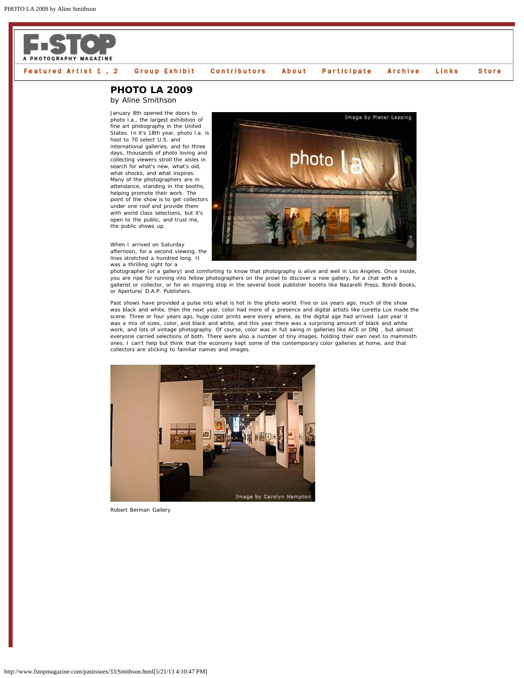

## **PHOTO LA 2009**

by Aline Smithson

January 8th opened the doors to photo l.a., the largest exhibition of fine art photography in the United States. In it's 18th year, photo l.a. is host to 70 select U.S. and international galleries, and for three days, thousands of photo loving and collecting viewers stroll the aisles in search for what's new, what's old, what shocks, and what inspires. Many of the photographers are in attendance, standing in the booths, helping promote their work. The point of the show is to get collectors under one roof and provide them with world class selections, but it's open to the public, and trust me, the public shows up.

When I arrived on Saturday afternoon, for a second viewing, the lines stretched a hundred long. It was a thrilling sight for a



photographer (or a gallery) and comforting to know that photography is alive and well in Los Angeles. Once inside, you are ripe for running into fellow photographers on the prowl to discover a new gallery, for a chat with a gallerist or collector, or for an inspiring stop in the several book publisher booths like Nazarelli Press, Bondi Books, or Aperture/ D.A.P. Publishers.

Past shows have provided a pulse into what is hot in the photo world. Five or six years ago, much of the show was black and white, then the next year, color had more of a presence and digital artists like Loretta Lux made the scene. Three or four years ago, huge color prints were every where, as the digital age had arrived. Last year it was a mix of sizes, color, and black and white, and this year there was a surprising amount of black and white work, and lots of vintage photography. Of course, color was in full swing in galleries like ACE or DNJ , but almost everyone carried selections of both. There were also a number of tiny images, holding their own next to mammoth ones. I can't help but think that the economy kept some of the contemporary color galleries at home, and that collectors are sticking to familiar names and images.



Robert Berman Gallery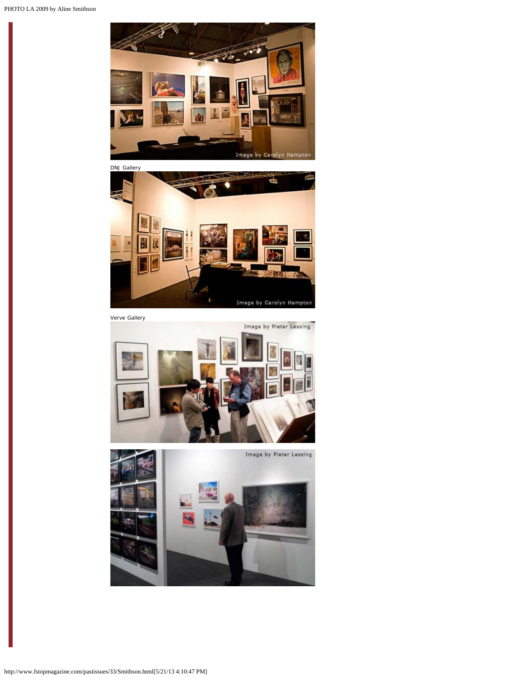



Verve Gallery

Image by Pieter Lessing

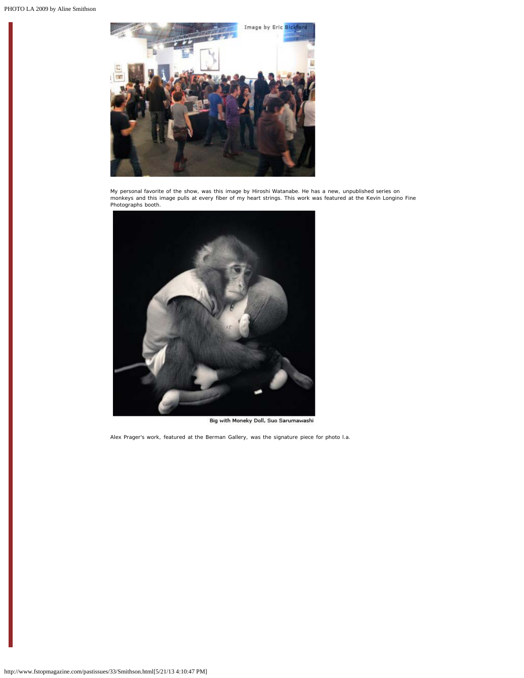

My personal favorite of the show, was this image by Hiroshi Watanabe. He has a new, unpublished series on<br>monkeys and this image pulls at every fiber of my heart strings. This work was featured at the Kevin Longino Fine<br>Ph



Big with Moneky Doll, Suo Sarumawashi

Alex Prager's work, featured at the Berman Gallery, was the signature piece for photo l.a.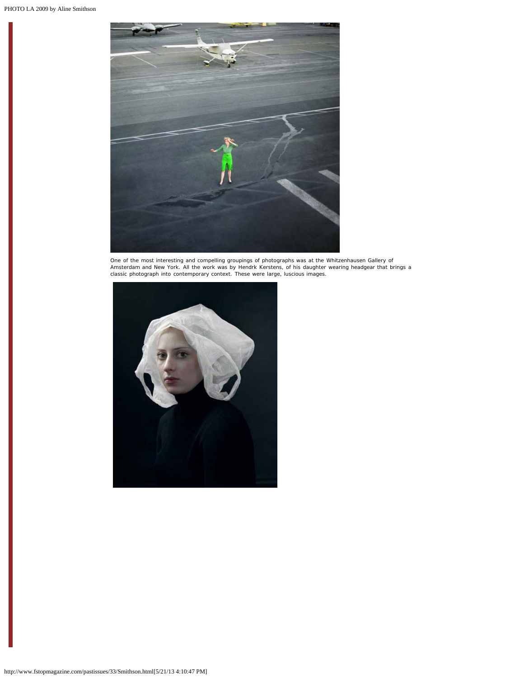

One of the most interesting and compelling groupings of photographs was at the Whitzenhausen Gallery of<br>Amsterdam and New York. All the work was by Hendrk Kerstens, of his daughter wearing headgear that brings a<br>classic ph

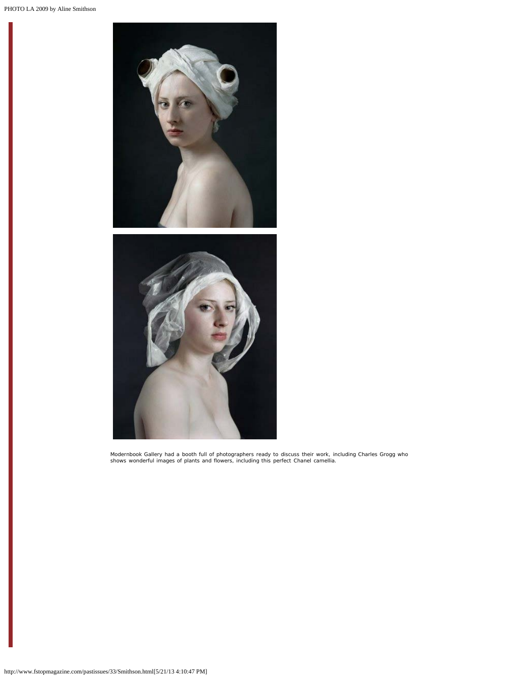

Modernbook Gallery had a booth full of photographers ready to discuss their work, including Charles Grogg who shows wonderful images of plants and flowers, including this perfect Chanel camellia.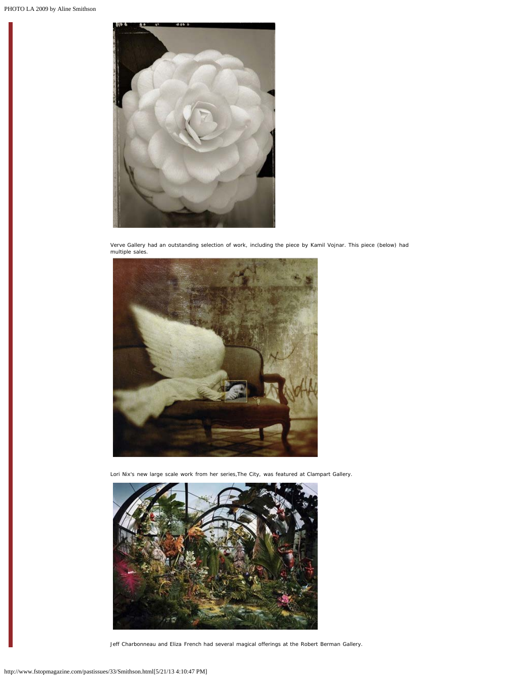

Verve Gallery had an outstanding selection of work, including the piece by Kamil Vojnar. This piece (below) had multiple sales.



Lori Nix's new large scale work from her series,The City, was featured at Clampart Gallery.



Jeff Charbonneau and Eliza French had several magical offerings at the Robert Berman Gallery.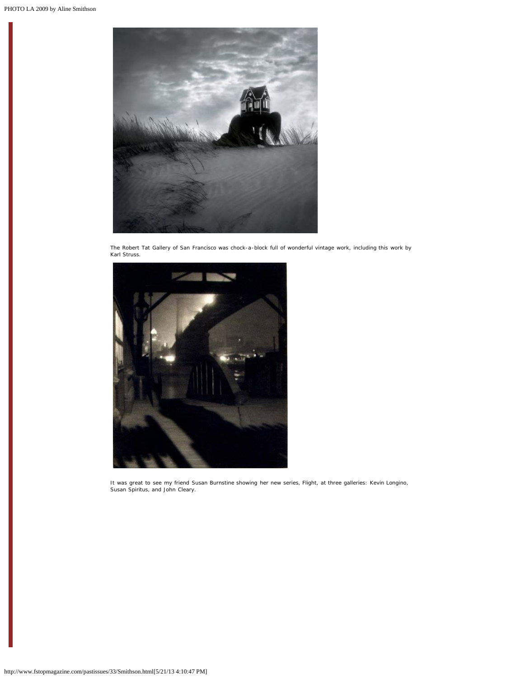

The Robert Tat Gallery of San Francisco was chock-a-block full of wonderful vintage work, including this work by Karl Struss.



It was great to see my friend Susan Burnstine showing her new series, Flight, at three galleries: Kevin Longino, Susan Spiritus, and John Cleary.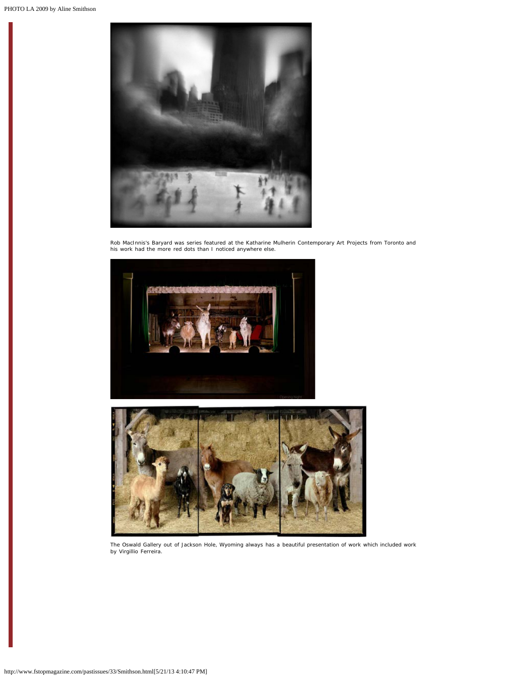

Rob MacInnis's Baryard was series featured at the Katharine Mulherin Contemporary Art Projects from Toronto and his work had the more red dots than I noticed anywhere else.





The Oswald Gallery out of Jackson Hole, Wyoming always has a beautiful presentation of work which included work by Virgillio Ferreira.